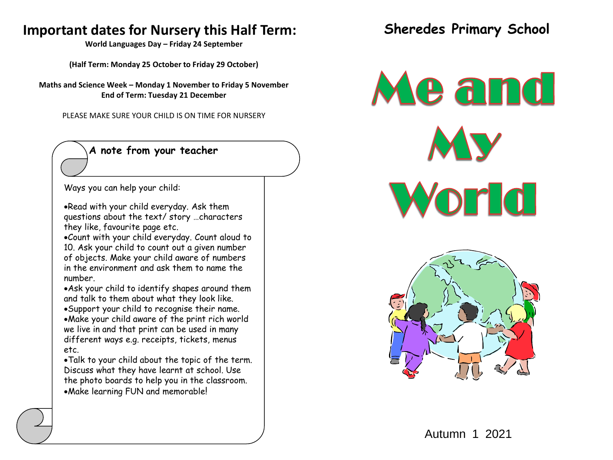# **Important dates for Nursery this Half Term:**

**World Languages Day – Friday 24 September**

**(Half Term: Monday 25 October to Friday 29 October)**

**Maths and Science Week – Monday 1 November to Friday 5 November End of Term: Tuesday 21 December**

PLEASE MAKE SURE YOUR CHILD IS ON TIME FOR NURSERY

## **A note from your teacher**

Ways you can help your child:

Read with your child everyday. Ask them questions about the text/ story …characters they like, favourite page etc.

Count with your child everyday. Count aloud to 10. Ask your child to count out a given number of objects. Make your child aware of numbers in the environment and ask them to name the number.

Ask your child to identify shapes around them and talk to them about what they look like. Support your child to recognise their name. Make your child aware of the print rich world we live in and that print can be used in many different ways e.g. receipts, tickets, menus etc.

Talk to your child about the topic of the term. Discuss what they have learnt at school. Use the photo boards to help you in the classroom. Make learning FUN and memorable!

**Sheredes Primary School**

Meand World